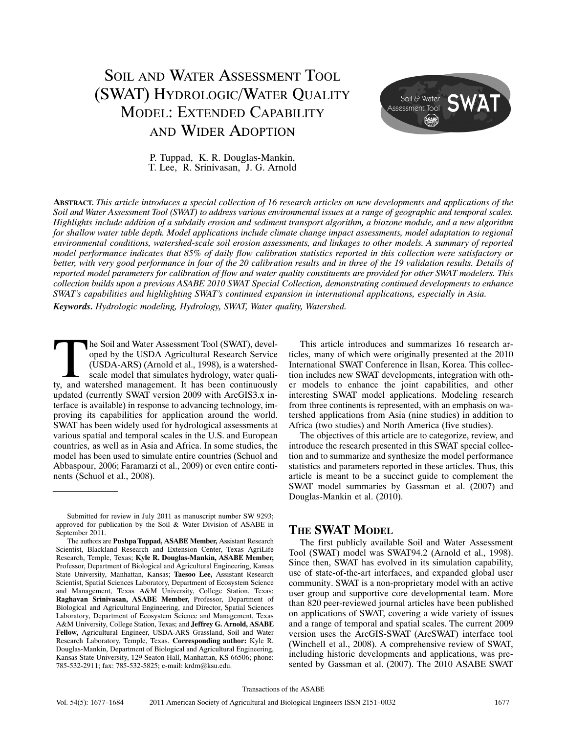# SOIL AND WATER ASSESSMENT TOOL (SWAT) HYDROLOGIC/WATER QUALITY MODEL: EXTENDED CAPABILITY AND WIDER ADOPTION



P. Tuppad, K. R. Douglas‐Mankin, T. Lee, R. Srinivasan, J. G. Arnold

**ABSTRACT.** *This article introduces a special collection of 16 research articles on new developments and applications of the Soil and Water Assessment Tool (SWAT) to address various environmental issues at a range of geographic and temporal scales. Highlights include addition of a subdaily erosion and sediment transport algorithm, a biozone module, and a new algorithm for shallow water table depth. Model applications include climate change impact assessments, model adaptation to regional environmental conditions, watershed‐scale soil erosion assessments, and linkages to other models. A summary of reported model performance indicates that 85% of daily flow calibration statistics reported in this collection were satisfactory or better, with very good performance in four of the 20 calibration results and in three of the 19 validation results. Details of reported model parameters for calibration of flow and water quality constituents are provided for other SWAT modelers. This collection builds upon a previous ASABE 2010 SWAT Special Collection, demonstrating continued developments to enhance SWAT's capabilities and highlighting SWAT's continued expansion in international applications, especially in Asia. Keywords. Hydrologic modeling, Hydrology, SWAT, Water quality, Watershed.*

he Soil and Water Assessment Tool (SWAT), developed by the USDA Agricultural Research Service (USDA‐ARS) (Arnold et al., 1998), is a watershed‐ scale model that simulates hydrology, water quali-The Soil and Water Assessment Tool (SWAT), developed by the USDA Agricultural Research Service (USDA-ARS) (Arnold et al., 1998), is a watershed-scale model that simulates hydrology, water quality, and watershed management. updated (currently SWAT version 2009 with ArcGIS3.x in‐ terface is available) in response to advancing technology, im‐ proving its capabilities for application around the world. SWAT has been widely used for hydrological assessments at various spatial and temporal scales in the U.S. and European countries, as well as in Asia and Africa. In some studies, the model has been used to simulate entire countries (Schuol and Abbaspour, 2006; Faramarzi et al., 2009) or even entire conti‐ nents (Schuol et al., 2008).

This article introduces and summarizes 16 research ar‐ ticles, many of which were originally presented at the 2010 International SWAT Conference in Ilsan, Korea. This collec‐ tion includes new SWAT developments, integration with oth‐ er models to enhance the joint capabilities, and other interesting SWAT model applications. Modeling research from three continents is represented, with an emphasis on watershed applications from Asia (nine studies) in addition to Africa (two studies) and North America (five studies).

The objectives of this article are to categorize, review, and introduce the research presented in this SWAT special collec‐ tion and to summarize and synthesize the model performance statistics and parameters reported in these articles. Thus, this article is meant to be a succinct guide to complement the SWAT model summaries by Gassman et al. (2007) and Douglas‐Mankin et al. (2010).

# **THE SWAT MODEL**

The first publicly available Soil and Water Assessment Tool (SWAT) model was SWAT94.2 (Arnold et al., 1998). Since then, SWAT has evolved in its simulation capability, use of state-of-the-art interfaces, and expanded global user community. SWAT is a non‐proprietary model with an active user group and supportive core developmental team. More than 820 peer‐reviewed journal articles have been published on applications of SWAT, covering a wide variety of issues and a range of temporal and spatial scales. The current 2009 version uses the ArcGIS‐SWAT (ArcSWAT) interface tool (Winchell et al., 2008). A comprehensive review of SWAT, including historic developments and applications, was presented by Gassman et al. (2007). The 2010 ASABE SWAT

Submitted for review in July 2011 as manuscript number SW 9293; approved for publication by the Soil & Water Division of ASABE in September 2011.

The authors are **Pushpa Tuppad, ASABE Member,** Assistant Research Scientist, Blackland Research and Extension Center, Texas AgriLife Research, Temple, Texas; **Kyle R. Douglas‐Mankin, ASABE Member,** Professor, Department of Biological and Agricultural Engineering, Kansas State University, Manhattan, Kansas; **Taesoo Lee,** Assistant Research Scientist, Spatial Sciences Laboratory, Department of Ecosystem Science and Management, Texas A&M University, College Station, Texas; **Raghavan Srinivasan, ASABE Member,** Professor, Department of Biological and Agricultural Engineering, and Director, Spatial Sciences Laboratory, Department of Ecosystem Science and Management, Texas A&M University, College Station, Texas; and **Jeffrey G. Arnold, ASABE Fellow,** Agricultural Engineer, USDA‐ARS Grassland, Soil and Water Research Laboratory, Temple, Texas. **Corresponding author:** Kyle R. Douglas‐Mankin, Department of Biological and Agricultural Engineering, Kansas State University, 129 Seaton Hall, Manhattan, KS 66506; phone: 785‐532‐2911; fax: 785‐532‐5825; e‐mail: krdm@ksu.edu.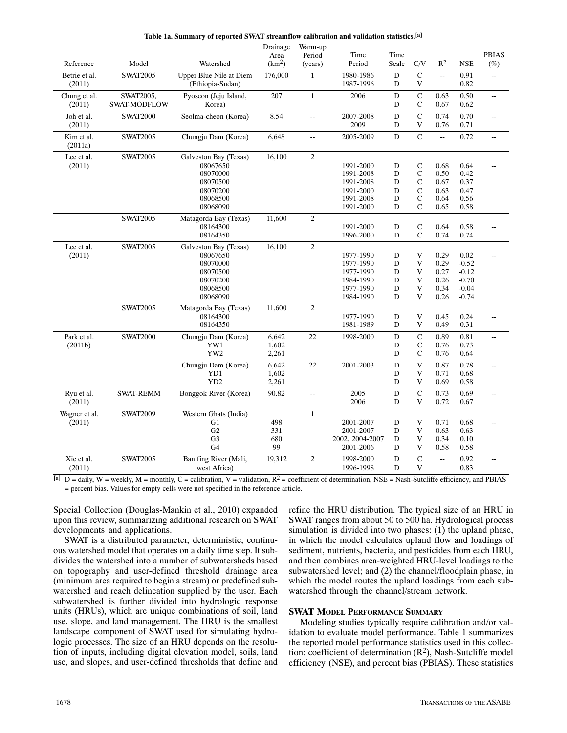| Time<br>Time<br><b>PBIAS</b><br>Period<br>Area<br>Period<br>$R^2$<br>Scale<br>$\mathrm{C/V}$<br>$(\%)$<br>Reference<br>Model<br>Watershed<br>(km <sup>2</sup> )<br><b>NSE</b><br>(years)<br>${\bf D}$<br>$\mathsf{C}$<br>Upper Blue Nile at Diem<br>176,000<br>$\mathbf{1}$<br>1980-1986<br>Betrie et al.<br><b>SWAT2005</b><br>0.91<br>$\overline{\phantom{a}}$<br>$\sim$<br>1987-1996<br>(Ethiopia-Sudan)<br>D<br>V<br>0.82<br>(2011)<br>$\mathbf C$<br>$\mathbf 1$<br>Pyoseon (Jeju Island,<br>207<br>${\bf D}$<br>Chung et al.<br>SWAT2005,<br>2006<br>0.63<br>0.50<br>Ξ.<br>Korea)<br>$\mathsf C$<br>(2011)<br><b>SWAT-MODFLOW</b><br>D<br>0.67<br>0.62<br>$\mathbf C$<br>Seolma-cheon (Korea)<br>8.54<br>2007-2008<br>${\bf D}$<br>0.74<br>0.70<br>Joh et al.<br><b>SWAT2000</b><br>цц.<br>Ξ.<br>2009<br>(2011)<br>D<br>V<br>0.76<br>0.71<br>$\overline{C}$<br><b>SWAT2005</b><br>Chungju Dam (Korea)<br>6,648<br>D<br>0.72<br>Kim et al.<br>2005-2009<br>цц.<br>÷,<br>Ξ.<br>(2011a)<br>$\sqrt{2}$<br><b>SWAT2005</b><br>16,100<br>Lee et al.<br>Galveston Bay (Texas)<br>$\mathsf C$<br>(2011)<br>08067650<br>1991-2000<br>D<br>0.68<br>0.64<br>08070000<br>$\mathcal{C}$<br>1991-2008<br>D<br>0.50<br>0.42<br>$\mathsf{C}$<br>D<br>08070500<br>1991-2008<br>0.67<br>0.37<br>$\mathbf C$<br>${\bf D}$<br>08070200<br>1991-2000<br>0.63<br>0.47<br>$\mathsf{C}$<br>08068500<br>1991-2008<br>D<br>0.64<br>0.56<br>$\mathsf{C}$<br>08068090<br>D<br>0.65<br>0.58<br>1991-2000<br>$\sqrt{2}$<br><b>SWAT2005</b><br>Matagorda Bay (Texas)<br>11,600<br>${\bf D}$<br>$\mathsf C$<br>08164300<br>1991-2000<br>0.64<br>0.58<br>08164350<br>D<br>$\mathsf{C}$<br>1996-2000<br>0.74<br>0.74<br>16,100<br>$\overline{c}$<br>Lee et al.<br><b>SWAT2005</b><br>Galveston Bay (Texas)<br>(2011)<br>08067650<br>1977-1990<br>D<br>V<br>0.29<br>0.02<br>${\bf D}$<br>V<br>0.29<br>$-0.52$<br>08070000<br>1977-1990<br>${\bf D}$<br>V<br>08070500<br>1977-1990<br>0.27<br>$-0.12$<br>08070200<br>1984-1990<br>D<br>V<br>0.26<br>$-0.70$<br>08068500<br>1977-1990<br>D<br>V<br>0.34<br>$-0.04$<br>V<br>08068090<br>1984-1990<br>D<br>0.26<br>$-0.74$<br><b>SWAT2005</b><br>$\overline{c}$<br>Matagorda Bay (Texas)<br>11,600<br>08164300<br>1977-1990<br>D<br>V<br>0.45<br>0.24<br>$\sim$<br>$\mathbf V$<br>0.49<br>08164350<br>1981-1989<br>D<br>0.31<br>$\mathbf C$<br>Park et al.<br><b>SWAT2000</b><br>6,642<br>22<br>${\bf D}$<br>0.89<br>0.81<br>Chungju Dam (Korea)<br>1998-2000<br>$\overline{a}$<br>$\mathbf C$<br>YW1<br>1,602<br>(2011b)<br>D<br>0.76<br>0.73<br>YW2<br>$\mathsf C$<br>2,261<br>D<br>0.76<br>0.64<br>$\mathbf V$<br>Chungju Dam (Korea)<br>6,642<br>22<br>2001-2003<br>${\bf D}$<br>0.87<br>0.78<br>ω.<br>YD1<br>1,602<br>${\bf D}$<br>V<br>0.71<br>0.68<br>YD <sub>2</sub><br>2,261<br>D<br>V<br>0.69<br>0.58<br>$\mathbf C$<br>$\mathbf D$<br>Ryu et al.<br><b>SWAT-REMM</b><br>90.82<br>2005<br>0.73<br>0.69<br>Bonggok River (Korea)<br>$\overline{a}$<br>2006<br>V<br>(2011)<br>D<br>0.72<br>0.67<br>Wagner et al.<br><b>SWAT2009</b><br>Western Ghats (India)<br>$\mathbf{1}$<br>498<br>V<br>(2011)<br>G1<br>2001-2007<br>D<br>0.71<br>0.68<br>G2<br>D<br>V<br>331<br>2001-2007<br>0.63<br>0.63<br>V<br>G <sub>3</sub><br>680<br>D<br>0.34<br>0.10<br>2002, 2004-2007<br>G <sub>4</sub><br>99<br>$\mathbf V$<br>2001-2006<br>D<br>0.58<br>0.58<br>$\overline{c}$<br>${\bf C}$<br>Xie et al.<br><b>SWAT2005</b><br>Banifing River (Mali,<br>1998-2000<br>D<br>0.92<br>19,312<br>$\overline{\phantom{a}}$<br>ω. |        |  | Table Ta, Summary of reported SWAT streamnow canniation and vandation statistics. |          |         |           |           |             |      |  |
|-------------------------------------------------------------------------------------------------------------------------------------------------------------------------------------------------------------------------------------------------------------------------------------------------------------------------------------------------------------------------------------------------------------------------------------------------------------------------------------------------------------------------------------------------------------------------------------------------------------------------------------------------------------------------------------------------------------------------------------------------------------------------------------------------------------------------------------------------------------------------------------------------------------------------------------------------------------------------------------------------------------------------------------------------------------------------------------------------------------------------------------------------------------------------------------------------------------------------------------------------------------------------------------------------------------------------------------------------------------------------------------------------------------------------------------------------------------------------------------------------------------------------------------------------------------------------------------------------------------------------------------------------------------------------------------------------------------------------------------------------------------------------------------------------------------------------------------------------------------------------------------------------------------------------------------------------------------------------------------------------------------------------------------------------------------------------------------------------------------------------------------------------------------------------------------------------------------------------------------------------------------------------------------------------------------------------------------------------------------------------------------------------------------------------------------------------------------------------------------------------------------------------------------------------------------------------------------------------------------------------------------------------------------------------------------------------------------------------------------------------------------------------------------------------------------------------------------------------------------------------------------------------------------------------------------------------------------------------------------------------------------------------------------------------------------------------------------------------------------------------------------------------------------------------------------------------------------------------------------------------------------------------------------------------------------------------------------------------------------------------------------------------------------------------------------------------------------------------------------------------------------------------------------|--------|--|-----------------------------------------------------------------------------------|----------|---------|-----------|-----------|-------------|------|--|
|                                                                                                                                                                                                                                                                                                                                                                                                                                                                                                                                                                                                                                                                                                                                                                                                                                                                                                                                                                                                                                                                                                                                                                                                                                                                                                                                                                                                                                                                                                                                                                                                                                                                                                                                                                                                                                                                                                                                                                                                                                                                                                                                                                                                                                                                                                                                                                                                                                                                                                                                                                                                                                                                                                                                                                                                                                                                                                                                                                                                                                                                                                                                                                                                                                                                                                                                                                                                                                                                                                                                     |        |  |                                                                                   | Drainage | Warm-up |           |           |             |      |  |
|                                                                                                                                                                                                                                                                                                                                                                                                                                                                                                                                                                                                                                                                                                                                                                                                                                                                                                                                                                                                                                                                                                                                                                                                                                                                                                                                                                                                                                                                                                                                                                                                                                                                                                                                                                                                                                                                                                                                                                                                                                                                                                                                                                                                                                                                                                                                                                                                                                                                                                                                                                                                                                                                                                                                                                                                                                                                                                                                                                                                                                                                                                                                                                                                                                                                                                                                                                                                                                                                                                                                     |        |  |                                                                                   |          |         |           |           |             |      |  |
|                                                                                                                                                                                                                                                                                                                                                                                                                                                                                                                                                                                                                                                                                                                                                                                                                                                                                                                                                                                                                                                                                                                                                                                                                                                                                                                                                                                                                                                                                                                                                                                                                                                                                                                                                                                                                                                                                                                                                                                                                                                                                                                                                                                                                                                                                                                                                                                                                                                                                                                                                                                                                                                                                                                                                                                                                                                                                                                                                                                                                                                                                                                                                                                                                                                                                                                                                                                                                                                                                                                                     |        |  |                                                                                   |          |         |           |           |             |      |  |
|                                                                                                                                                                                                                                                                                                                                                                                                                                                                                                                                                                                                                                                                                                                                                                                                                                                                                                                                                                                                                                                                                                                                                                                                                                                                                                                                                                                                                                                                                                                                                                                                                                                                                                                                                                                                                                                                                                                                                                                                                                                                                                                                                                                                                                                                                                                                                                                                                                                                                                                                                                                                                                                                                                                                                                                                                                                                                                                                                                                                                                                                                                                                                                                                                                                                                                                                                                                                                                                                                                                                     |        |  |                                                                                   |          |         |           |           |             |      |  |
|                                                                                                                                                                                                                                                                                                                                                                                                                                                                                                                                                                                                                                                                                                                                                                                                                                                                                                                                                                                                                                                                                                                                                                                                                                                                                                                                                                                                                                                                                                                                                                                                                                                                                                                                                                                                                                                                                                                                                                                                                                                                                                                                                                                                                                                                                                                                                                                                                                                                                                                                                                                                                                                                                                                                                                                                                                                                                                                                                                                                                                                                                                                                                                                                                                                                                                                                                                                                                                                                                                                                     |        |  |                                                                                   |          |         |           |           |             |      |  |
|                                                                                                                                                                                                                                                                                                                                                                                                                                                                                                                                                                                                                                                                                                                                                                                                                                                                                                                                                                                                                                                                                                                                                                                                                                                                                                                                                                                                                                                                                                                                                                                                                                                                                                                                                                                                                                                                                                                                                                                                                                                                                                                                                                                                                                                                                                                                                                                                                                                                                                                                                                                                                                                                                                                                                                                                                                                                                                                                                                                                                                                                                                                                                                                                                                                                                                                                                                                                                                                                                                                                     |        |  |                                                                                   |          |         |           |           |             |      |  |
|                                                                                                                                                                                                                                                                                                                                                                                                                                                                                                                                                                                                                                                                                                                                                                                                                                                                                                                                                                                                                                                                                                                                                                                                                                                                                                                                                                                                                                                                                                                                                                                                                                                                                                                                                                                                                                                                                                                                                                                                                                                                                                                                                                                                                                                                                                                                                                                                                                                                                                                                                                                                                                                                                                                                                                                                                                                                                                                                                                                                                                                                                                                                                                                                                                                                                                                                                                                                                                                                                                                                     |        |  |                                                                                   |          |         |           |           |             |      |  |
|                                                                                                                                                                                                                                                                                                                                                                                                                                                                                                                                                                                                                                                                                                                                                                                                                                                                                                                                                                                                                                                                                                                                                                                                                                                                                                                                                                                                                                                                                                                                                                                                                                                                                                                                                                                                                                                                                                                                                                                                                                                                                                                                                                                                                                                                                                                                                                                                                                                                                                                                                                                                                                                                                                                                                                                                                                                                                                                                                                                                                                                                                                                                                                                                                                                                                                                                                                                                                                                                                                                                     |        |  |                                                                                   |          |         |           |           |             |      |  |
|                                                                                                                                                                                                                                                                                                                                                                                                                                                                                                                                                                                                                                                                                                                                                                                                                                                                                                                                                                                                                                                                                                                                                                                                                                                                                                                                                                                                                                                                                                                                                                                                                                                                                                                                                                                                                                                                                                                                                                                                                                                                                                                                                                                                                                                                                                                                                                                                                                                                                                                                                                                                                                                                                                                                                                                                                                                                                                                                                                                                                                                                                                                                                                                                                                                                                                                                                                                                                                                                                                                                     |        |  |                                                                                   |          |         |           |           |             |      |  |
|                                                                                                                                                                                                                                                                                                                                                                                                                                                                                                                                                                                                                                                                                                                                                                                                                                                                                                                                                                                                                                                                                                                                                                                                                                                                                                                                                                                                                                                                                                                                                                                                                                                                                                                                                                                                                                                                                                                                                                                                                                                                                                                                                                                                                                                                                                                                                                                                                                                                                                                                                                                                                                                                                                                                                                                                                                                                                                                                                                                                                                                                                                                                                                                                                                                                                                                                                                                                                                                                                                                                     |        |  |                                                                                   |          |         |           |           |             |      |  |
|                                                                                                                                                                                                                                                                                                                                                                                                                                                                                                                                                                                                                                                                                                                                                                                                                                                                                                                                                                                                                                                                                                                                                                                                                                                                                                                                                                                                                                                                                                                                                                                                                                                                                                                                                                                                                                                                                                                                                                                                                                                                                                                                                                                                                                                                                                                                                                                                                                                                                                                                                                                                                                                                                                                                                                                                                                                                                                                                                                                                                                                                                                                                                                                                                                                                                                                                                                                                                                                                                                                                     |        |  |                                                                                   |          |         |           |           |             |      |  |
|                                                                                                                                                                                                                                                                                                                                                                                                                                                                                                                                                                                                                                                                                                                                                                                                                                                                                                                                                                                                                                                                                                                                                                                                                                                                                                                                                                                                                                                                                                                                                                                                                                                                                                                                                                                                                                                                                                                                                                                                                                                                                                                                                                                                                                                                                                                                                                                                                                                                                                                                                                                                                                                                                                                                                                                                                                                                                                                                                                                                                                                                                                                                                                                                                                                                                                                                                                                                                                                                                                                                     |        |  |                                                                                   |          |         |           |           |             |      |  |
|                                                                                                                                                                                                                                                                                                                                                                                                                                                                                                                                                                                                                                                                                                                                                                                                                                                                                                                                                                                                                                                                                                                                                                                                                                                                                                                                                                                                                                                                                                                                                                                                                                                                                                                                                                                                                                                                                                                                                                                                                                                                                                                                                                                                                                                                                                                                                                                                                                                                                                                                                                                                                                                                                                                                                                                                                                                                                                                                                                                                                                                                                                                                                                                                                                                                                                                                                                                                                                                                                                                                     |        |  |                                                                                   |          |         |           |           |             |      |  |
|                                                                                                                                                                                                                                                                                                                                                                                                                                                                                                                                                                                                                                                                                                                                                                                                                                                                                                                                                                                                                                                                                                                                                                                                                                                                                                                                                                                                                                                                                                                                                                                                                                                                                                                                                                                                                                                                                                                                                                                                                                                                                                                                                                                                                                                                                                                                                                                                                                                                                                                                                                                                                                                                                                                                                                                                                                                                                                                                                                                                                                                                                                                                                                                                                                                                                                                                                                                                                                                                                                                                     |        |  |                                                                                   |          |         |           |           |             |      |  |
|                                                                                                                                                                                                                                                                                                                                                                                                                                                                                                                                                                                                                                                                                                                                                                                                                                                                                                                                                                                                                                                                                                                                                                                                                                                                                                                                                                                                                                                                                                                                                                                                                                                                                                                                                                                                                                                                                                                                                                                                                                                                                                                                                                                                                                                                                                                                                                                                                                                                                                                                                                                                                                                                                                                                                                                                                                                                                                                                                                                                                                                                                                                                                                                                                                                                                                                                                                                                                                                                                                                                     |        |  |                                                                                   |          |         |           |           |             |      |  |
|                                                                                                                                                                                                                                                                                                                                                                                                                                                                                                                                                                                                                                                                                                                                                                                                                                                                                                                                                                                                                                                                                                                                                                                                                                                                                                                                                                                                                                                                                                                                                                                                                                                                                                                                                                                                                                                                                                                                                                                                                                                                                                                                                                                                                                                                                                                                                                                                                                                                                                                                                                                                                                                                                                                                                                                                                                                                                                                                                                                                                                                                                                                                                                                                                                                                                                                                                                                                                                                                                                                                     |        |  |                                                                                   |          |         |           |           |             |      |  |
|                                                                                                                                                                                                                                                                                                                                                                                                                                                                                                                                                                                                                                                                                                                                                                                                                                                                                                                                                                                                                                                                                                                                                                                                                                                                                                                                                                                                                                                                                                                                                                                                                                                                                                                                                                                                                                                                                                                                                                                                                                                                                                                                                                                                                                                                                                                                                                                                                                                                                                                                                                                                                                                                                                                                                                                                                                                                                                                                                                                                                                                                                                                                                                                                                                                                                                                                                                                                                                                                                                                                     |        |  |                                                                                   |          |         |           |           |             |      |  |
|                                                                                                                                                                                                                                                                                                                                                                                                                                                                                                                                                                                                                                                                                                                                                                                                                                                                                                                                                                                                                                                                                                                                                                                                                                                                                                                                                                                                                                                                                                                                                                                                                                                                                                                                                                                                                                                                                                                                                                                                                                                                                                                                                                                                                                                                                                                                                                                                                                                                                                                                                                                                                                                                                                                                                                                                                                                                                                                                                                                                                                                                                                                                                                                                                                                                                                                                                                                                                                                                                                                                     |        |  |                                                                                   |          |         |           |           |             |      |  |
|                                                                                                                                                                                                                                                                                                                                                                                                                                                                                                                                                                                                                                                                                                                                                                                                                                                                                                                                                                                                                                                                                                                                                                                                                                                                                                                                                                                                                                                                                                                                                                                                                                                                                                                                                                                                                                                                                                                                                                                                                                                                                                                                                                                                                                                                                                                                                                                                                                                                                                                                                                                                                                                                                                                                                                                                                                                                                                                                                                                                                                                                                                                                                                                                                                                                                                                                                                                                                                                                                                                                     |        |  |                                                                                   |          |         |           |           |             |      |  |
|                                                                                                                                                                                                                                                                                                                                                                                                                                                                                                                                                                                                                                                                                                                                                                                                                                                                                                                                                                                                                                                                                                                                                                                                                                                                                                                                                                                                                                                                                                                                                                                                                                                                                                                                                                                                                                                                                                                                                                                                                                                                                                                                                                                                                                                                                                                                                                                                                                                                                                                                                                                                                                                                                                                                                                                                                                                                                                                                                                                                                                                                                                                                                                                                                                                                                                                                                                                                                                                                                                                                     |        |  |                                                                                   |          |         |           |           |             |      |  |
|                                                                                                                                                                                                                                                                                                                                                                                                                                                                                                                                                                                                                                                                                                                                                                                                                                                                                                                                                                                                                                                                                                                                                                                                                                                                                                                                                                                                                                                                                                                                                                                                                                                                                                                                                                                                                                                                                                                                                                                                                                                                                                                                                                                                                                                                                                                                                                                                                                                                                                                                                                                                                                                                                                                                                                                                                                                                                                                                                                                                                                                                                                                                                                                                                                                                                                                                                                                                                                                                                                                                     |        |  |                                                                                   |          |         |           |           |             |      |  |
|                                                                                                                                                                                                                                                                                                                                                                                                                                                                                                                                                                                                                                                                                                                                                                                                                                                                                                                                                                                                                                                                                                                                                                                                                                                                                                                                                                                                                                                                                                                                                                                                                                                                                                                                                                                                                                                                                                                                                                                                                                                                                                                                                                                                                                                                                                                                                                                                                                                                                                                                                                                                                                                                                                                                                                                                                                                                                                                                                                                                                                                                                                                                                                                                                                                                                                                                                                                                                                                                                                                                     |        |  |                                                                                   |          |         |           |           |             |      |  |
|                                                                                                                                                                                                                                                                                                                                                                                                                                                                                                                                                                                                                                                                                                                                                                                                                                                                                                                                                                                                                                                                                                                                                                                                                                                                                                                                                                                                                                                                                                                                                                                                                                                                                                                                                                                                                                                                                                                                                                                                                                                                                                                                                                                                                                                                                                                                                                                                                                                                                                                                                                                                                                                                                                                                                                                                                                                                                                                                                                                                                                                                                                                                                                                                                                                                                                                                                                                                                                                                                                                                     |        |  |                                                                                   |          |         |           |           |             |      |  |
|                                                                                                                                                                                                                                                                                                                                                                                                                                                                                                                                                                                                                                                                                                                                                                                                                                                                                                                                                                                                                                                                                                                                                                                                                                                                                                                                                                                                                                                                                                                                                                                                                                                                                                                                                                                                                                                                                                                                                                                                                                                                                                                                                                                                                                                                                                                                                                                                                                                                                                                                                                                                                                                                                                                                                                                                                                                                                                                                                                                                                                                                                                                                                                                                                                                                                                                                                                                                                                                                                                                                     |        |  |                                                                                   |          |         |           |           |             |      |  |
|                                                                                                                                                                                                                                                                                                                                                                                                                                                                                                                                                                                                                                                                                                                                                                                                                                                                                                                                                                                                                                                                                                                                                                                                                                                                                                                                                                                                                                                                                                                                                                                                                                                                                                                                                                                                                                                                                                                                                                                                                                                                                                                                                                                                                                                                                                                                                                                                                                                                                                                                                                                                                                                                                                                                                                                                                                                                                                                                                                                                                                                                                                                                                                                                                                                                                                                                                                                                                                                                                                                                     |        |  |                                                                                   |          |         |           |           |             |      |  |
|                                                                                                                                                                                                                                                                                                                                                                                                                                                                                                                                                                                                                                                                                                                                                                                                                                                                                                                                                                                                                                                                                                                                                                                                                                                                                                                                                                                                                                                                                                                                                                                                                                                                                                                                                                                                                                                                                                                                                                                                                                                                                                                                                                                                                                                                                                                                                                                                                                                                                                                                                                                                                                                                                                                                                                                                                                                                                                                                                                                                                                                                                                                                                                                                                                                                                                                                                                                                                                                                                                                                     |        |  |                                                                                   |          |         |           |           |             |      |  |
|                                                                                                                                                                                                                                                                                                                                                                                                                                                                                                                                                                                                                                                                                                                                                                                                                                                                                                                                                                                                                                                                                                                                                                                                                                                                                                                                                                                                                                                                                                                                                                                                                                                                                                                                                                                                                                                                                                                                                                                                                                                                                                                                                                                                                                                                                                                                                                                                                                                                                                                                                                                                                                                                                                                                                                                                                                                                                                                                                                                                                                                                                                                                                                                                                                                                                                                                                                                                                                                                                                                                     |        |  |                                                                                   |          |         |           |           |             |      |  |
|                                                                                                                                                                                                                                                                                                                                                                                                                                                                                                                                                                                                                                                                                                                                                                                                                                                                                                                                                                                                                                                                                                                                                                                                                                                                                                                                                                                                                                                                                                                                                                                                                                                                                                                                                                                                                                                                                                                                                                                                                                                                                                                                                                                                                                                                                                                                                                                                                                                                                                                                                                                                                                                                                                                                                                                                                                                                                                                                                                                                                                                                                                                                                                                                                                                                                                                                                                                                                                                                                                                                     |        |  |                                                                                   |          |         |           |           |             |      |  |
|                                                                                                                                                                                                                                                                                                                                                                                                                                                                                                                                                                                                                                                                                                                                                                                                                                                                                                                                                                                                                                                                                                                                                                                                                                                                                                                                                                                                                                                                                                                                                                                                                                                                                                                                                                                                                                                                                                                                                                                                                                                                                                                                                                                                                                                                                                                                                                                                                                                                                                                                                                                                                                                                                                                                                                                                                                                                                                                                                                                                                                                                                                                                                                                                                                                                                                                                                                                                                                                                                                                                     |        |  |                                                                                   |          |         |           |           |             |      |  |
|                                                                                                                                                                                                                                                                                                                                                                                                                                                                                                                                                                                                                                                                                                                                                                                                                                                                                                                                                                                                                                                                                                                                                                                                                                                                                                                                                                                                                                                                                                                                                                                                                                                                                                                                                                                                                                                                                                                                                                                                                                                                                                                                                                                                                                                                                                                                                                                                                                                                                                                                                                                                                                                                                                                                                                                                                                                                                                                                                                                                                                                                                                                                                                                                                                                                                                                                                                                                                                                                                                                                     |        |  |                                                                                   |          |         |           |           |             |      |  |
|                                                                                                                                                                                                                                                                                                                                                                                                                                                                                                                                                                                                                                                                                                                                                                                                                                                                                                                                                                                                                                                                                                                                                                                                                                                                                                                                                                                                                                                                                                                                                                                                                                                                                                                                                                                                                                                                                                                                                                                                                                                                                                                                                                                                                                                                                                                                                                                                                                                                                                                                                                                                                                                                                                                                                                                                                                                                                                                                                                                                                                                                                                                                                                                                                                                                                                                                                                                                                                                                                                                                     |        |  |                                                                                   |          |         |           |           |             |      |  |
|                                                                                                                                                                                                                                                                                                                                                                                                                                                                                                                                                                                                                                                                                                                                                                                                                                                                                                                                                                                                                                                                                                                                                                                                                                                                                                                                                                                                                                                                                                                                                                                                                                                                                                                                                                                                                                                                                                                                                                                                                                                                                                                                                                                                                                                                                                                                                                                                                                                                                                                                                                                                                                                                                                                                                                                                                                                                                                                                                                                                                                                                                                                                                                                                                                                                                                                                                                                                                                                                                                                                     |        |  |                                                                                   |          |         |           |           |             |      |  |
|                                                                                                                                                                                                                                                                                                                                                                                                                                                                                                                                                                                                                                                                                                                                                                                                                                                                                                                                                                                                                                                                                                                                                                                                                                                                                                                                                                                                                                                                                                                                                                                                                                                                                                                                                                                                                                                                                                                                                                                                                                                                                                                                                                                                                                                                                                                                                                                                                                                                                                                                                                                                                                                                                                                                                                                                                                                                                                                                                                                                                                                                                                                                                                                                                                                                                                                                                                                                                                                                                                                                     |        |  |                                                                                   |          |         |           |           |             |      |  |
|                                                                                                                                                                                                                                                                                                                                                                                                                                                                                                                                                                                                                                                                                                                                                                                                                                                                                                                                                                                                                                                                                                                                                                                                                                                                                                                                                                                                                                                                                                                                                                                                                                                                                                                                                                                                                                                                                                                                                                                                                                                                                                                                                                                                                                                                                                                                                                                                                                                                                                                                                                                                                                                                                                                                                                                                                                                                                                                                                                                                                                                                                                                                                                                                                                                                                                                                                                                                                                                                                                                                     |        |  |                                                                                   |          |         |           |           |             |      |  |
|                                                                                                                                                                                                                                                                                                                                                                                                                                                                                                                                                                                                                                                                                                                                                                                                                                                                                                                                                                                                                                                                                                                                                                                                                                                                                                                                                                                                                                                                                                                                                                                                                                                                                                                                                                                                                                                                                                                                                                                                                                                                                                                                                                                                                                                                                                                                                                                                                                                                                                                                                                                                                                                                                                                                                                                                                                                                                                                                                                                                                                                                                                                                                                                                                                                                                                                                                                                                                                                                                                                                     |        |  |                                                                                   |          |         |           |           |             |      |  |
|                                                                                                                                                                                                                                                                                                                                                                                                                                                                                                                                                                                                                                                                                                                                                                                                                                                                                                                                                                                                                                                                                                                                                                                                                                                                                                                                                                                                                                                                                                                                                                                                                                                                                                                                                                                                                                                                                                                                                                                                                                                                                                                                                                                                                                                                                                                                                                                                                                                                                                                                                                                                                                                                                                                                                                                                                                                                                                                                                                                                                                                                                                                                                                                                                                                                                                                                                                                                                                                                                                                                     |        |  |                                                                                   |          |         |           |           |             |      |  |
|                                                                                                                                                                                                                                                                                                                                                                                                                                                                                                                                                                                                                                                                                                                                                                                                                                                                                                                                                                                                                                                                                                                                                                                                                                                                                                                                                                                                                                                                                                                                                                                                                                                                                                                                                                                                                                                                                                                                                                                                                                                                                                                                                                                                                                                                                                                                                                                                                                                                                                                                                                                                                                                                                                                                                                                                                                                                                                                                                                                                                                                                                                                                                                                                                                                                                                                                                                                                                                                                                                                                     |        |  |                                                                                   |          |         |           |           |             |      |  |
|                                                                                                                                                                                                                                                                                                                                                                                                                                                                                                                                                                                                                                                                                                                                                                                                                                                                                                                                                                                                                                                                                                                                                                                                                                                                                                                                                                                                                                                                                                                                                                                                                                                                                                                                                                                                                                                                                                                                                                                                                                                                                                                                                                                                                                                                                                                                                                                                                                                                                                                                                                                                                                                                                                                                                                                                                                                                                                                                                                                                                                                                                                                                                                                                                                                                                                                                                                                                                                                                                                                                     |        |  |                                                                                   |          |         |           |           |             |      |  |
|                                                                                                                                                                                                                                                                                                                                                                                                                                                                                                                                                                                                                                                                                                                                                                                                                                                                                                                                                                                                                                                                                                                                                                                                                                                                                                                                                                                                                                                                                                                                                                                                                                                                                                                                                                                                                                                                                                                                                                                                                                                                                                                                                                                                                                                                                                                                                                                                                                                                                                                                                                                                                                                                                                                                                                                                                                                                                                                                                                                                                                                                                                                                                                                                                                                                                                                                                                                                                                                                                                                                     |        |  |                                                                                   |          |         |           |           |             |      |  |
|                                                                                                                                                                                                                                                                                                                                                                                                                                                                                                                                                                                                                                                                                                                                                                                                                                                                                                                                                                                                                                                                                                                                                                                                                                                                                                                                                                                                                                                                                                                                                                                                                                                                                                                                                                                                                                                                                                                                                                                                                                                                                                                                                                                                                                                                                                                                                                                                                                                                                                                                                                                                                                                                                                                                                                                                                                                                                                                                                                                                                                                                                                                                                                                                                                                                                                                                                                                                                                                                                                                                     |        |  |                                                                                   |          |         |           |           |             |      |  |
|                                                                                                                                                                                                                                                                                                                                                                                                                                                                                                                                                                                                                                                                                                                                                                                                                                                                                                                                                                                                                                                                                                                                                                                                                                                                                                                                                                                                                                                                                                                                                                                                                                                                                                                                                                                                                                                                                                                                                                                                                                                                                                                                                                                                                                                                                                                                                                                                                                                                                                                                                                                                                                                                                                                                                                                                                                                                                                                                                                                                                                                                                                                                                                                                                                                                                                                                                                                                                                                                                                                                     |        |  |                                                                                   |          |         |           |           |             |      |  |
|                                                                                                                                                                                                                                                                                                                                                                                                                                                                                                                                                                                                                                                                                                                                                                                                                                                                                                                                                                                                                                                                                                                                                                                                                                                                                                                                                                                                                                                                                                                                                                                                                                                                                                                                                                                                                                                                                                                                                                                                                                                                                                                                                                                                                                                                                                                                                                                                                                                                                                                                                                                                                                                                                                                                                                                                                                                                                                                                                                                                                                                                                                                                                                                                                                                                                                                                                                                                                                                                                                                                     |        |  |                                                                                   |          |         |           |           |             |      |  |
|                                                                                                                                                                                                                                                                                                                                                                                                                                                                                                                                                                                                                                                                                                                                                                                                                                                                                                                                                                                                                                                                                                                                                                                                                                                                                                                                                                                                                                                                                                                                                                                                                                                                                                                                                                                                                                                                                                                                                                                                                                                                                                                                                                                                                                                                                                                                                                                                                                                                                                                                                                                                                                                                                                                                                                                                                                                                                                                                                                                                                                                                                                                                                                                                                                                                                                                                                                                                                                                                                                                                     |        |  |                                                                                   |          |         |           |           |             |      |  |
|                                                                                                                                                                                                                                                                                                                                                                                                                                                                                                                                                                                                                                                                                                                                                                                                                                                                                                                                                                                                                                                                                                                                                                                                                                                                                                                                                                                                                                                                                                                                                                                                                                                                                                                                                                                                                                                                                                                                                                                                                                                                                                                                                                                                                                                                                                                                                                                                                                                                                                                                                                                                                                                                                                                                                                                                                                                                                                                                                                                                                                                                                                                                                                                                                                                                                                                                                                                                                                                                                                                                     |        |  |                                                                                   |          |         |           |           |             |      |  |
|                                                                                                                                                                                                                                                                                                                                                                                                                                                                                                                                                                                                                                                                                                                                                                                                                                                                                                                                                                                                                                                                                                                                                                                                                                                                                                                                                                                                                                                                                                                                                                                                                                                                                                                                                                                                                                                                                                                                                                                                                                                                                                                                                                                                                                                                                                                                                                                                                                                                                                                                                                                                                                                                                                                                                                                                                                                                                                                                                                                                                                                                                                                                                                                                                                                                                                                                                                                                                                                                                                                                     |        |  |                                                                                   |          |         |           |           |             |      |  |
|                                                                                                                                                                                                                                                                                                                                                                                                                                                                                                                                                                                                                                                                                                                                                                                                                                                                                                                                                                                                                                                                                                                                                                                                                                                                                                                                                                                                                                                                                                                                                                                                                                                                                                                                                                                                                                                                                                                                                                                                                                                                                                                                                                                                                                                                                                                                                                                                                                                                                                                                                                                                                                                                                                                                                                                                                                                                                                                                                                                                                                                                                                                                                                                                                                                                                                                                                                                                                                                                                                                                     |        |  |                                                                                   |          |         |           |           |             |      |  |
|                                                                                                                                                                                                                                                                                                                                                                                                                                                                                                                                                                                                                                                                                                                                                                                                                                                                                                                                                                                                                                                                                                                                                                                                                                                                                                                                                                                                                                                                                                                                                                                                                                                                                                                                                                                                                                                                                                                                                                                                                                                                                                                                                                                                                                                                                                                                                                                                                                                                                                                                                                                                                                                                                                                                                                                                                                                                                                                                                                                                                                                                                                                                                                                                                                                                                                                                                                                                                                                                                                                                     | (2011) |  | west Africa)                                                                      |          |         | 1996-1998 | ${\bf D}$ | $\mathbf V$ | 0.83 |  |

**Table 1a. Summary of reported SWAT streamflow calibration and validation statistics.[a]**

[a]  $D = \text{daily}, W = \text{ weekly}, M = \text{monthly}, C = \text{calibration}, V = \text{validation}, R^2 = \text{coefficient of determination}, NSE = \text{Nash-Sutcliffe efficiency}, and PBIAS$ = percent bias. Values for empty cells were not specified in the reference article.

Special Collection (Douglas‐Mankin et al., 2010) expanded upon this review, summarizing additional research on SWAT developments and applications.

SWAT is a distributed parameter, deterministic, continu‐ ous watershed model that operates on a daily time step. It sub‐ divides the watershed into a number of subwatersheds based on topography and user‐defined threshold drainage area (minimum area required to begin a stream) or predefined sub‐ watershed and reach delineation supplied by the user. Each subwatershed is further divided into hydrologic response units (HRUs), which are unique combinations of soil, land use, slope, and land management. The HRU is the smallest landscape component of SWAT used for simulating hydro‐ logic processes. The size of an HRU depends on the resolution of inputs, including digital elevation model, soils, land use, and slopes, and user‐defined thresholds that define and refine the HRU distribution. The typical size of an HRU in SWAT ranges from about 50 to 500 ha. Hydrological process simulation is divided into two phases: (1) the upland phase, in which the model calculates upland flow and loadings of sediment, nutrients, bacteria, and pesticides from each HRU, and then combines area‐weighted HRU‐level loadings to the subwatershed level; and (2) the channel/floodplain phase, in which the model routes the upland loadings from each subwatershed through the channel/stream network.

### **SWAT MODEL PERFORMANCE SUMMARY**

Modeling studies typically require calibration and/or validation to evaluate model performance. Table 1 summarizes the reported model performance statistics used in this collec‐ tion: coefficient of determination  $(R^2)$ , Nash-Sutcliffe model efficiency (NSE), and percent bias (PBIAS). These statistics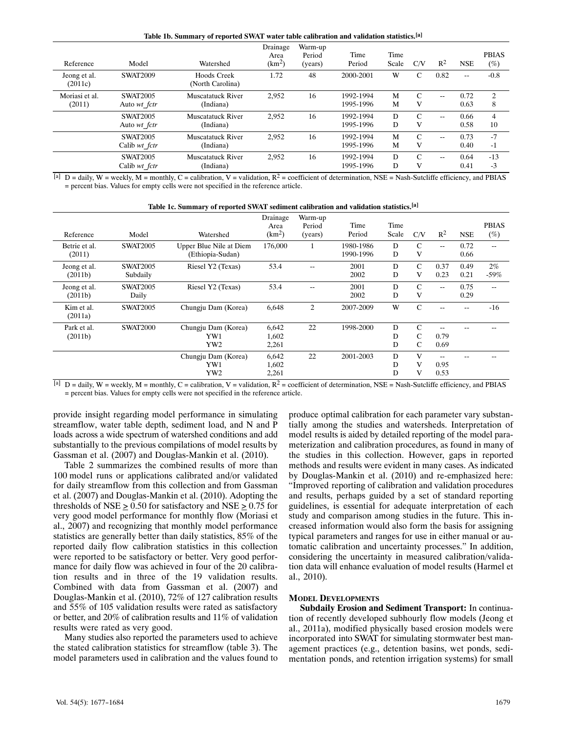|  |  | Table 1b. Summary of reported SWAT water table calibration and validation statistics. <sup>[a]</sup> |  |  |  |
|--|--|------------------------------------------------------------------------------------------------------|--|--|--|
|  |  |                                                                                                      |  |  |  |

| Reference               | Model           | Watershed                       | Drainage<br>Area<br>(km <sup>2</sup> ) | Warm-up<br>Period<br>(years) | Time<br>Period | Time<br>Scale | C/V           | $R^2$ | <b>NSE</b> | <b>PBIAS</b><br>$(\%)$ |
|-------------------------|-----------------|---------------------------------|----------------------------------------|------------------------------|----------------|---------------|---------------|-------|------------|------------------------|
| Jeong et al.<br>(2011c) | <b>SWAT2009</b> | Hoods Creek<br>(North Carolina) | 1.72                                   | 48                           | 2000-2001      | W             | C             | 0.82  | $- -$      | $-0.8$                 |
| Moriasi et al.          | <b>SWAT2005</b> | <b>Muscatatuck River</b>        | 2,952                                  | 16                           | 1992-1994      | M             | $\mathsf{C}$  | $-$   | 0.72       | $\overline{c}$         |
| (2011)                  | Auto wt fctr    | (Indiana)                       |                                        |                              | 1995-1996      | M             | V             |       | 0.63       | 8                      |
|                         | <b>SWAT2005</b> | <b>Muscatatuck River</b>        | 2,952                                  | 16                           | 1992-1994      | D             | $\mathsf{C}$  | $-$   | 0.66       | $\overline{4}$         |
|                         | Auto wt fctr    | (Indiana)                       |                                        |                              | 1995-1996      | D             | V             |       | 0.58       | 10                     |
|                         | <b>SWAT2005</b> | <b>Muscatatuck River</b>        | 2,952                                  | 16                           | 1992-1994      | M             | $\mathsf{C}$  | $-1$  | 0.73       | $-7$                   |
|                         | Calib wt fctr   | (Indiana)                       |                                        |                              | 1995-1996      | M             | V             |       | 0.40       | $-1$                   |
|                         | <b>SWAT2005</b> | <b>Muscatatuck River</b>        | 2,952                                  | 16                           | 1992-1994      | D             | $\mathcal{C}$ | $-1$  | 0.64       | $-13$                  |
|                         | Calib wt fctr   | (Indiana)                       |                                        |                              | 1995-1996      | D             | V             |       | 0.41       | $-3$                   |

 $\overline{[a]}$  D = daily, W = weekly, M = monthly, C = calibration, V = validation, R<sup>2</sup> = coefficient of determination, NSE = Nash-Sutcliffe efficiency, and PBIAS = percent bias. Values for empty cells were not specified in the reference article.

| Table 1c. Summary of reported SWAT sediment calibration and validation statistics. <sup>[a]</sup> |  |  |  |  |
|---------------------------------------------------------------------------------------------------|--|--|--|--|
|                                                                                                   |  |  |  |  |

| Reference             | Model           | Watershed               | Drainage<br>Area<br>(km <sup>2</sup> ) | Warm-up<br>Period<br>(years) | Time<br>Period | Time<br>Scale | C/V           | $R^2$ | <b>NSE</b> | <b>PBIAS</b><br>$(\%)$ |
|-----------------------|-----------------|-------------------------|----------------------------------------|------------------------------|----------------|---------------|---------------|-------|------------|------------------------|
| Betrie et al.         | <b>SWAT2005</b> | Upper Blue Nile at Diem | 176,000                                |                              | 1980-1986      | D             | $\mathcal{C}$ |       | 0.72       |                        |
| (2011)                |                 | (Ethiopia-Sudan)        |                                        | T                            | 1990-1996      | D             | V             | $-$   | 0.66       | --                     |
| Jeong et al.          | <b>SWAT2005</b> | Riesel Y2 (Texas)       | 53.4                                   | --                           | 2001           | D             | $\mathcal{C}$ | 0.37  | 0.49       | $2\%$                  |
| (2011b)               | Subdaily        |                         |                                        |                              | 2002           | D             | V             | 0.23  | 0.21       | $-59%$                 |
| Jeong et al.          | <b>SWAT2005</b> | Riesel Y2 (Texas)       | 53.4                                   | $-$                          | 2001           | D             | $\mathsf{C}$  | ۰.    | 0.75       | --                     |
| (2011b)               | Daily           |                         |                                        |                              | 2002           | D             | V             |       | 0.29       |                        |
| Kim et al.<br>(2011a) | <b>SWAT2005</b> | Chungju Dam (Korea)     | 6,648                                  | 2                            | 2007-2009      | W             | $\mathsf{C}$  | --    | $- -$      | $-16$                  |
| Park et al.           | <b>SWAT2000</b> | Chungju Dam (Korea)     | 6,642                                  | 22                           | 1998-2000      | D             | $\mathcal{C}$ | --    |            |                        |
| (2011b)               |                 | YW1                     | 1,602                                  |                              |                | D             | $\mathsf{C}$  | 0.79  |            |                        |
|                       |                 | YW <sub>2</sub>         | 2,261                                  |                              |                | D             | $\mathcal{C}$ | 0.69  |            |                        |
|                       |                 | Chungju Dam (Korea)     | 6,642                                  | 22                           | 2001-2003      | D             | V             | --    |            |                        |
|                       |                 | YW1                     | 1,602                                  |                              |                | D             | V             | 0.95  |            |                        |
| $-1$                  |                 | YW2                     | 2,261                                  |                              |                | D             | V             | 0.53  |            |                        |

[a] D = daily, W = weekly, M = monthly, C = calibration, V = validation,  $R^2$  = coefficient of determination, NSE = Nash-Sutcliffe efficiency, and PBIAS = percent bias. Values for empty cells were not specified in the reference article.

provide insight regarding model performance in simulating streamflow, water table depth, sediment load, and N and P loads across a wide spectrum of watershed conditions and add substantially to the previous compilations of model results by Gassman et al. (2007) and Douglas‐Mankin et al. (2010).

Table 2 summarizes the combined results of more than 100model runs or applications calibrated and/or validated for daily streamflow from this collection and from Gassman et al. (2007) and Douglas‐Mankin et al. (2010). Adopting the thresholds of  $NSE > 0.50$  for satisfactory and  $NSE > 0.75$  for very good model performance for monthly flow (Moriasi et al., 2007) and recognizing that monthly model performance statistics are generally better than daily statistics, 85% of the reported daily flow calibration statistics in this collection were reported to be satisfactory or better. Very good performance for daily flow was achieved in four of the 20 calibration results and in three of the 19 validation results. Combined with data from Gassman et al. (2007) and Douglas‐Mankin et al. (2010), 72% of 127 calibration results and 55% of 105 validation results were rated as satisfactory or better, and 20% of calibration results and 11% of validation results were rated as very good.

Many studies also reported the parameters used to achieve the stated calibration statistics for streamflow (table 3). The model parameters used in calibration and the values found to produce optimal calibration for each parameter vary substan‐ tially among the studies and watersheds. Interpretation of model results is aided by detailed reporting of the model parameterization and calibration procedures, as found in many of the studies in this collection. However, gaps in reported methods and results were evident in many cases. As indicated by Douglas-Mankin et al. (2010) and re-emphasized here: "Improved reporting of calibration and validation procedures and results, perhaps guided by a set of standard reporting guidelines, is essential for adequate interpretation of each study and comparison among studies in the future. This in‐ creased information would also form the basis for assigning typical parameters and ranges for use in either manual or au‐ tomatic calibration and uncertainty processes." In addition, considering the uncertainty in measured calibration/valida‐ tion data will enhance evaluation of model results (Harmel et al., 2010).

#### **MODEL DEVELOPMENTS**

**Subdaily Erosion and Sediment Transport:** In continua‐ tion of recently developed subhourly flow models (Jeong et al., 2011a), modified physically based erosion models were incorporated into SWAT for simulating stormwater best management practices (e.g., detention basins, wet ponds, sedi‐ mentation ponds, and retention irrigation systems) for small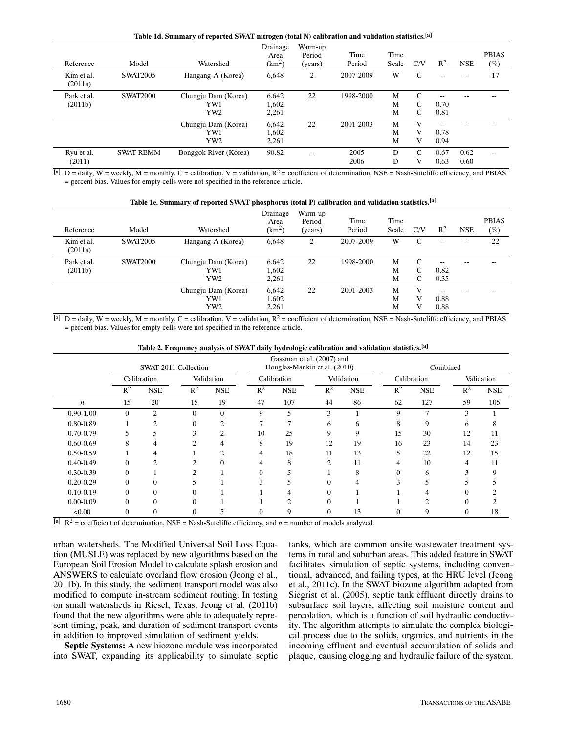|                        | Table 1d. Summary of reported SWAT nitrogen (total N) calibration and validation statistics.[a] |                                               |                                        |                              |                |               |                                     |                       |              |                        |  |  |  |  |
|------------------------|-------------------------------------------------------------------------------------------------|-----------------------------------------------|----------------------------------------|------------------------------|----------------|---------------|-------------------------------------|-----------------------|--------------|------------------------|--|--|--|--|
| Reference              | Model                                                                                           | Watershed                                     | Drainage<br>Area<br>(km <sup>2</sup> ) | Warm-up<br>Period<br>(years) | Time<br>Period | Time<br>Scale | C/V                                 | $R^2$                 | <b>NSE</b>   | <b>PBIAS</b><br>$(\%)$ |  |  |  |  |
| Kim et al.<br>(2011a)  | <b>SWAT2005</b>                                                                                 | Hangang-A (Korea)                             | 6,648                                  | 2                            | 2007-2009      | W             | $\mathsf{C}$                        | $- -$                 | --           | $-17$                  |  |  |  |  |
| Park et al.<br>(2011b) | <b>SWAT2000</b>                                                                                 | Chungju Dam (Korea)<br>YW1<br>YW <sub>2</sub> | 6,642<br>1,602<br>2,261                | 22                           | 1998-2000      | M<br>M<br>M   | C<br>$\mathcal{C}$<br>$\mathcal{C}$ | $- -$<br>0.70<br>0.81 |              |                        |  |  |  |  |
|                        |                                                                                                 | Chungju Dam (Korea)<br>YW1<br>YW <sub>2</sub> | 6,642<br>1,602<br>2,261                | 22                           | 2001-2003      | M<br>M<br>M   | V<br>V<br>V                         | --<br>0.78<br>0.94    |              |                        |  |  |  |  |
| Ryu et al.<br>(2011)   | <b>SWAT-REMM</b>                                                                                | Bonggok River (Korea)                         | 90.82                                  | $-$                          | 2005<br>2006   | D<br>D        | C<br>V                              | 0.67<br>0.63          | 0.62<br>0.60 | --                     |  |  |  |  |

[a] D = daily, W = weekly, M = monthly, C = calibration, V = validation,  $R^2$  = coefficient of determination, NSE = Nash-Sutcliffe efficiency, and PBIAS = percent bias. Values for empty cells were not specified in the reference article.

|                        | Table 1e. Summary of reported SWAT phosphorus (total P) calibration and validation statistics. <sup>[a]</sup> |                                               |                              |                              |                |               |             |                          |               |                        |  |  |  |  |
|------------------------|---------------------------------------------------------------------------------------------------------------|-----------------------------------------------|------------------------------|------------------------------|----------------|---------------|-------------|--------------------------|---------------|------------------------|--|--|--|--|
| Reference              | Model                                                                                                         | Watershed                                     | Drainage<br>Area<br>$(km^2)$ | Warm-up<br>Period<br>(years) | Time<br>Period | Time<br>Scale | C/V         | $R^2$                    | <b>NSE</b>    | <b>PBIAS</b><br>$(\%)$ |  |  |  |  |
| Kim et al.<br>(2011a)  | <b>SWAT2005</b>                                                                                               | Hangang-A (Korea)                             | 6,648                        | 2                            | 2007-2009      | W             | C           | $\overline{\phantom{m}}$ | $\sim$ $\sim$ | $-22$                  |  |  |  |  |
| Park et al.<br>(2011b) | <b>SWAT2000</b>                                                                                               | Chungju Dam (Korea)<br>YW1<br>YW <sub>2</sub> | 6,642<br>1,602<br>2,261      | 22                           | 1998-2000      | M<br>M<br>M   | C<br>C<br>C | $ -$<br>0.82<br>0.35     |               |                        |  |  |  |  |
|                        |                                                                                                               | Chungju Dam (Korea)<br>YW1<br>YW <sub>2</sub> | 6,642<br>1,602<br>2,261      | 22                           | 2001-2003      | M<br>M<br>M   | V<br>V<br>V | $- -$<br>0.88<br>0.88    |               |                        |  |  |  |  |

 $\overline{[a]}$  D = daily, W = weekly, M = monthly, C = calibration, V = validation, R<sup>2</sup> = coefficient of determination, NSE = Nash-Sutcliffe efficiency, and PBIAS = percent bias. Values for empty cells were not specified in the reference article.

|  |  |  | Table 2. Frequency analysis of SWAT daily hydrologic calibration and validation statistics. <sup>[a]</sup> |  |  |
|--|--|--|------------------------------------------------------------------------------------------------------------|--|--|
|  |  |  |                                                                                                            |  |  |

|                  |          | SWAT 2011 Collection |            |                |             | Gassman et al. (2007) and<br>Douglas-Mankin et al. (2010) |              |            | Combined    |                |            |            |  |
|------------------|----------|----------------------|------------|----------------|-------------|-----------------------------------------------------------|--------------|------------|-------------|----------------|------------|------------|--|
|                  |          | Calibration          | Validation |                | Calibration |                                                           | Validation   |            | Calibration |                | Validation |            |  |
|                  | $R^2$    | <b>NSE</b>           | $R^2$      | <b>NSE</b>     | $R^2$       | <b>NSE</b>                                                | $R^2$        | <b>NSE</b> | $R^2$       | <b>NSE</b>     | $R^2$      | <b>NSE</b> |  |
| $\boldsymbol{n}$ | 15       | 20                   | 15         | 19             | 47          | 107                                                       | 44           | 86         | 62          | 127            | 59         | 105        |  |
| $0.90 - 1.00$    | $\theta$ | $\overline{c}$       | $\theta$   | $\theta$       | 9           | 5                                                         | 3            |            | 9           | $\overline{7}$ | 3          |            |  |
| $0.80 - 0.89$    |          | 2                    |            | $\overline{c}$ | ⇁           |                                                           | <sub>(</sub> | 6          | 8           | 9              | 6          | 8          |  |
| $0.70 - 0.79$    |          | 5                    | 3          | $\overline{c}$ | 10          | 25                                                        | 9            | 9          | 15          | 30             | 12         | 11         |  |
| $0.60 - 0.69$    | 8        | 4                    |            | 4              | 8           | 19                                                        | 12           | 19         | 16          | 23             | 14         | 23         |  |
| $0.50 - 0.59$    |          |                      |            | $\mathfrak{D}$ | 4           | 18                                                        | 11           | 13         | 5           | 22             | 12         | 15         |  |
| $0.40 - 0.49$    |          | 2                    |            | 0              |             | 8                                                         | 2            | 11         | 4           | 10             | 4          | 11         |  |
| $0.30 - 0.39$    | 0        |                      |            |                | 0           | 5                                                         |              | 8          | 0           | 6              | 3          |            |  |
| $0.20 - 0.29$    |          | $\theta$             |            |                |             |                                                           |              |            |             |                |            |            |  |
| $0.10 - 0.19$    |          | $\theta$             |            |                |             |                                                           |              |            |             |                | 0          |            |  |
| $0.00 - 0.09$    |          | $\theta$             | 0          |                |             | $\overline{c}$                                            | 0            |            |             | ↑              | $\theta$   |            |  |
| < 0.00           | 0        | $\boldsymbol{0}$     |            | 5              | 0           | 9                                                         | 0            | 13         | $\theta$    | 9              | 0          | 18         |  |

[a]  $R^2$  = coefficient of determination, NSE = Nash-Sutcliffe efficiency, and  $n =$  number of models analyzed.

urban watersheds. The Modified Universal Soil Loss Equa‐ tion (MUSLE) was replaced by new algorithms based on the European Soil Erosion Model to calculate splash erosion and ANSWERS to calculate overland flow erosion (Jeong et al., 2011b). In this study, the sediment transport model was also modified to compute in‐stream sediment routing. In testing on small watersheds in Riesel, Texas, Jeong et al. (2011b) found that the new algorithms were able to adequately repre‐ sent timing, peak, and duration of sediment transport events in addition to improved simulation of sediment yields.

**Septic Systems:** A new biozone module was incorporated into SWAT, expanding its applicability to simulate septic

tanks, which are common onsite wastewater treatment systems in rural and suburban areas. This added feature in SWAT facilitates simulation of septic systems, including conventional, advanced, and failing types, at the HRU level (Jeong et al., 2011c). In the SWAT biozone algorithm adapted from Siegrist et al. (2005), septic tank effluent directly drains to subsurface soil layers, affecting soil moisture content and percolation, which is a function of soil hydraulic conductiv‐ ity. The algorithm attempts to simulate the complex biological process due to the solids, organics, and nutrients in the incoming effluent and eventual accumulation of solids and plaque, causing clogging and hydraulic failure of the system.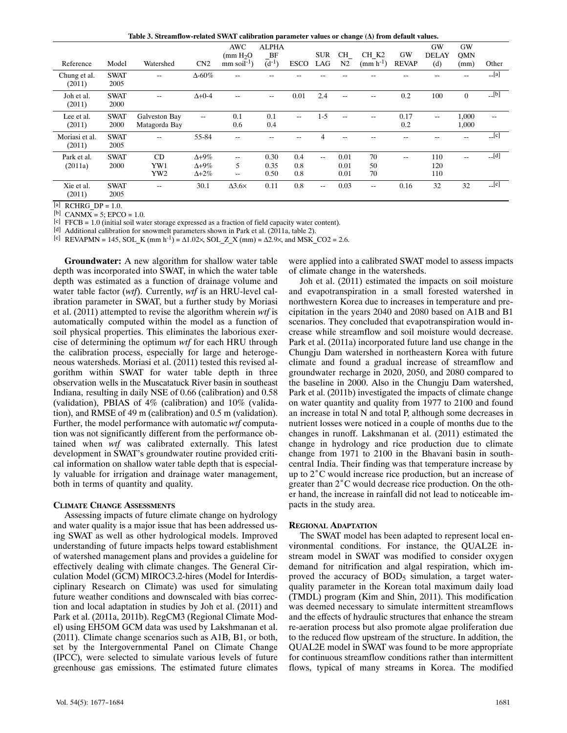Table 3. Streamflow-related SWAT calibration parameter values or change ( $\Delta$ ) from default values.

|                          |                     |                                |                                                    |                                        |                      |                   |                |                      | ິ<br>$\sim$       |                   |                    |                         |                     |
|--------------------------|---------------------|--------------------------------|----------------------------------------------------|----------------------------------------|----------------------|-------------------|----------------|----------------------|-------------------|-------------------|--------------------|-------------------------|---------------------|
|                          |                     |                                |                                                    | <b>AWC</b><br>$\text{mH}_2O$           | <b>ALPHA</b><br>BF   |                   | <b>SUR</b>     | CH                   | CH K <sub>2</sub> | <b>GW</b>         | GW<br><b>DELAY</b> | <b>GW</b><br><b>OMN</b> |                     |
| Reference                | Model               | Watershed                      | CN2                                                | $mm$ soil <sup>-1</sup> )              | $(d^{-1})$           | <b>ESCO</b>       | LAG            | N2                   | $(mm h^{-1})$     | <b>REVAP</b>      | (d)                | (mm)                    | Other               |
| Chung et al.<br>(2011)   | <b>SWAT</b><br>2005 | $-$                            | $\Delta 60\%$                                      | --                                     |                      |                   |                |                      |                   |                   |                    |                         | $\Gamma$ [a]        |
| Joh et al.<br>(2011)     | <b>SWAT</b><br>2000 | $-$                            | $\Delta + 0 - 4$                                   | $-$                                    | $\overline{a}$       | 0.01              | 2.4            | $\sim$ $\sim$        | $-$               | 0.2               | 100                | $\overline{0}$          | $[L_5]$             |
| Lee et al.<br>(2011)     | <b>SWAT</b><br>2000 | Galveston Bay<br>Matagorda Bay | $-$                                                | 0.1<br>0.6                             | 0.1<br>0.4           | $- -$             | $1 - 5$        | $- -$                | --                | 0.17<br>0.2       | ۰.                 | 1,000<br>1,000          | --                  |
| Moriasi et al.<br>(2011) | <b>SWAT</b><br>2005 | $-$                            | 55-84                                              | $-$                                    |                      |                   | $\overline{4}$ |                      |                   |                   |                    | --                      | $-[c]$              |
| Park et al.<br>(2011a)   | <b>SWAT</b><br>2000 | CD<br>YW1<br>YW <sub>2</sub>   | $\Delta + 9\%$<br>$\Delta + 9\%$<br>$\Delta + 2\%$ | $- -$<br>5<br>$\overline{\phantom{a}}$ | 0.30<br>0.35<br>0.50 | 0.4<br>0.8<br>0.8 | $\overline{a}$ | 0.01<br>0.01<br>0.01 | 70<br>50<br>70    | $\qquad \qquad -$ | 110<br>120<br>110  | $-$                     | $\lfloor d \rfloor$ |
| Xie et al.<br>(2011)     | <b>SWAT</b><br>2005 | $-$                            | 30.1                                               | $\Delta$ 3.6 $\times$                  | 0.11                 | 0.8               | $\sim$ $\sim$  | 0.03                 | $-$               | 0.16              | 32                 | 32                      | $-[e]$              |

 $[a]$  RCHRG DP = 1.0.

[b] CANM $\overline{X} = 5$ ; EPCO = 1.0.

 $[c]$  FFCB = 1.0 (initial soil water storage expressed as a fraction of field capacity water content).

[d] Additional calibration for snowmelt parameters shown in Park et al. (2011a, table 2).

[e] REVAPMN = 145, SOL K (mm h<sup>-1</sup>) =  $\Delta$ 1.02×, SOL Z X (mm) =  $\Delta$ 2.9×, and MSK CO2 = 2.6.

**Groundwater:** A new algorithm for shallow water table depth was incorporated into SWAT, in which the water table depth was estimated as a function of drainage volume and water table factor (*wtf*). Currently, *wtf* is an HRU-level calibration parameter in SWAT, but a further study by Moriasi et al. (2011) attempted to revise the algorithm wherein *wtf* is automatically computed within the model as a function of soil physical properties. This eliminates the laborious exercise of determining the optimum *wtf* for each HRU through the calibration process, especially for large and heteroge‐ neous watersheds. Moriasi et al. (2011) tested this revised al‐ gorithm within SWAT for water table depth in three observation wells in the Muscatatuck River basin in southeast Indiana, resulting in daily NSE of 0.66 (calibration) and 0.58 (validation), PBIAS of  $4\%$  (calibration) and  $10\%$  (validation), and RMSE of 49 m (calibration) and 0.5 m (validation). Further, the model performance with automatic *wtf* computa‐ tion was not significantly different from the performance ob‐ tained when *wtf* was calibrated externally. This latest development in SWAT's groundwater routine provided criti‐ cal information on shallow water table depth that is especially valuable for irrigation and drainage water management, both in terms of quantity and quality.

#### **CLIMATE CHANGE ASSESSMENTS**

Assessing impacts of future climate change on hydrology and water quality is a major issue that has been addressed us‐ ing SWAT as well as other hydrological models. Improved understanding of future impacts helps toward establishment of watershed management plans and provides a guideline for effectively dealing with climate changes. The General Cir‐ culation Model (GCM) MIROC3.2‐hires (Model for Interdis‐ ciplinary Research on Climate) was used for simulating future weather conditions and downscaled with bias correction and local adaptation in studies by Joh et al. (2011) and Park et al. (2011a, 2011b). RegCM3 (Regional Climate Mod‐ el) using EH5OM GCM data was used by Lakshmanan et al. (2011). Climate change scenarios such as A1B, B1, or both, set by the Intergovernmental Panel on Climate Change (IPCC), were selected to simulate various levels of future greenhouse gas emissions. The estimated future climates were applied into a calibrated SWAT model to assess impacts of climate change in the watersheds.

Joh et al. (2011) estimated the impacts on soil moisture and evapotranspiration in a small forested watershed in northwestern Korea due to increases in temperature and pre‐ cipitation in the years 2040 and 2080 based on A1B and B1 scenarios. They concluded that evapotranspiration would increase while streamflow and soil moisture would decrease. Park et al. (2011a) incorporated future land use change in the Chungju Dam watershed in northeastern Korea with future climate and found a gradual increase of streamflow and groundwater recharge in 2020, 2050, and 2080 compared to the baseline in 2000. Also in the Chungju Dam watershed, Park et al. (2011b) investigated the impacts of climate change on water quantity and quality from 1977 to 2100 and found an increase in total N and total P, although some decreases in nutrient losses were noticed in a couple of months due to the changes in runoff. Lakshmanan et al. (2011) estimated the change in hydrology and rice production due to climate example in 1981 to 2100 in the Bhavani basin in south-<br>central India. Their finding was that temperature increase by<br>up to 2°C would increase rice production, but an increase of central India. Their finding was that temperature increase by up to  $2^{\circ}$ C would increase rice production, but an increase of greater than  $2^{\circ}$ C would decrease rice production. On the other hand, the increase in rainfall did not lead to noticeable im‐ pacts in the study area.

#### **REGIONAL ADAPTATION**

The SWAT model has been adapted to represent local en‐ vironmental conditions. For instance, the QUAL2E in‐ stream model in SWAT was modified to consider oxygen demand for nitrification and algal respiration, which im‐ proved the accuracy of  $BOD<sub>5</sub>$  simulation, a target waterquality parameter in the Korean total maximum daily load (TMDL) program (Kim and Shin, 2011). This modification was deemed necessary to simulate intermittent streamflows and the effects of hydraulic structures that enhance the stream re‐aeration process but also promote algae proliferation due to the reduced flow upstream of the structure. In addition, the QUAL2E model in SWAT was found to be more appropriate for continuous streamflow conditions rather than intermittent flows, typical of many streams in Korea. The modified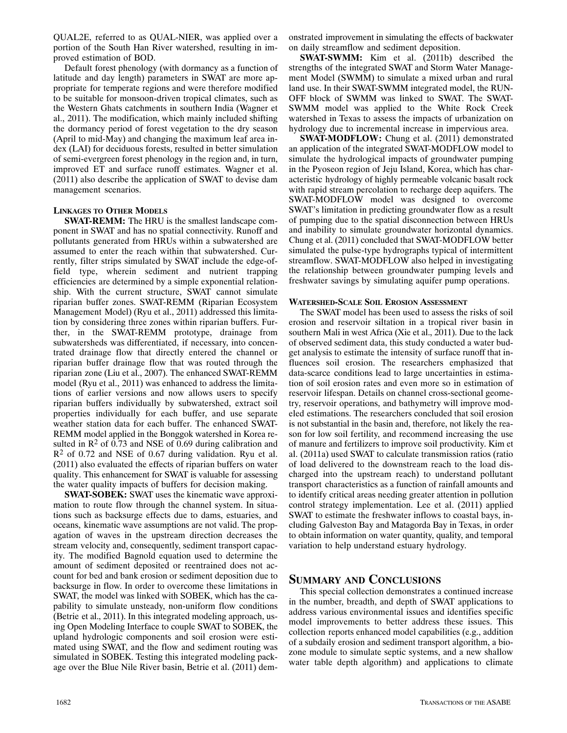QUAL2E, referred to as QUAL‐NIER, was applied over a portion of the South Han River watershed, resulting in im‐ proved estimation of BOD.

Default forest phenology (with dormancy as a function of latitude and day length) parameters in SWAT are more ap‐ propriate for temperate regions and were therefore modified to be suitable for monsoon‐driven tropical climates, such as the Western Ghats catchments in southern India (Wagner et al., 2011). The modification, which mainly included shifting the dormancy period of forest vegetation to the dry season (April to mid‐May) and changing the maximum leaf area in‐ dex (LAI) for deciduous forests, resulted in better simulation of semi‐evergreen forest phenology in the region and, in turn, improved ET and surface runoff estimates. Wagner et al. (2011) also describe the application of SWAT to devise dam management scenarios.

## **LINKAGES TO OTHER MODELS**

**SWAT-REMM:** The HRU is the smallest landscape component in SWAT and has no spatial connectivity. Runoff and pollutants generated from HRUs within a subwatershed are assumed to enter the reach within that subwatershed. Cur‐ rently, filter strips simulated by SWAT include the edge-offield type, wherein sediment and nutrient trapping efficiencies are determined by a simple exponential relation‐ ship. With the current structure, SWAT cannot simulate riparian buffer zones. SWAT‐REMM (Riparian Ecosystem Management Model) (Ryu et al., 2011) addressed this limitation by considering three zones within riparian buffers. Fur‐ ther, in the SWAT‐REMM prototype, drainage from subwatersheds was differentiated, if necessary, into concentrated drainage flow that directly entered the channel or riparian buffer drainage flow that was routed through the riparian zone (Liu et al., 2007). The enhanced SWAT‐REMM model (Ryu et al., 2011) was enhanced to address the limitations of earlier versions and now allows users to specify riparian buffers individually by subwatershed, extract soil properties individually for each buffer, and use separate weather station data for each buffer. The enhanced SWAT‐ REMM model applied in the Bonggok watershed in Korea re‐ sulted in  $\mathbb{R}^2$  of 0.73 and NSE of 0.69 during calibration and  $R<sup>2</sup>$  of 0.72 and NSE of 0.67 during validation. Ryu et al. (2011) also evaluated the effects of riparian buffers on water quality. This enhancement for SWAT is valuable for assessing the water quality impacts of buffers for decision making.

**SWAT-SOBEK:** SWAT uses the kinematic wave approximation to route flow through the channel system. In situa– tions such as backsurge effects due to dams, estuaries, and oceans, kinematic wave assumptions are not valid. The prop‐ agation of waves in the upstream direction decreases the stream velocity and, consequently, sediment transport capac‐ ity. The modified Bagnold equation used to determine the amount of sediment deposited or reentrained does not account for bed and bank erosion or sediment deposition due to backsurge in flow. In order to overcome these limitations in SWAT, the model was linked with SOBEK, which has the capability to simulate unsteady, non‐uniform flow conditions (Betrie et al., 2011). In this integrated modeling approach, us‐ ing Open Modeling Interface to couple SWAT to SOBEK, the upland hydrologic components and soil erosion were esti‐ mated using SWAT, and the flow and sediment routing was simulated in SOBEK. Testing this integrated modeling pack‐ age over the Blue Nile River basin, Betrie et al. (2011) dem‐

onstrated improvement in simulating the effects of backwater on daily streamflow and sediment deposition.

**SWAT‐SWMM:** Kim et al. (2011b) described the strengths of the integrated SWAT and Storm Water Manage‐ ment Model (SWMM) to simulate a mixed urban and rural land use. In their SWAT‐SWMM integrated model, the RUN‐ OFF block of SWMM was linked to SWAT. The SWAT‐ SWMM model was applied to the White Rock Creek watershed in Texas to assess the impacts of urbanization on hydrology due to incremental increase in impervious area.

**SWAT‐MODFLOW:** Chung et al. (2011) demonstrated an application of the integrated SWAT‐MODFLOW model to simulate the hydrological impacts of groundwater pumping in the Pyoseon region of Jeju Island, Korea, which has char‐ acteristic hydrology of highly permeable volcanic basalt rock with rapid stream percolation to recharge deep aquifers. The SWAT‐MODFLOW model was designed to overcome SWAT's limitation in predicting groundwater flow as a result of pumping due to the spatial disconnection between HRUs and inability to simulate groundwater horizontal dynamics. Chung et al. (2011) concluded that SWAT‐MODFLOW better simulated the pulse‐type hydrographs typical of intermittent streamflow. SWAT‐MODFLOW also helped in investigating the relationship between groundwater pumping levels and freshwater savings by simulating aquifer pump operations.

## **WATERSHED‐SCALE SOIL EROSION ASSESSMENT**

The SWAT model has been used to assess the risks of soil erosion and reservoir siltation in a tropical river basin in southern Mali in west Africa (Xie et al., 2011). Due to the lack of observed sediment data, this study conducted a water bud‐ get analysis to estimate the intensity of surface runoff that in‐ fluences soil erosion. The researchers emphasized that data‐scarce conditions lead to large uncertainties in estima‐ tion of soil erosion rates and even more so in estimation of reservoir lifespan. Details on channel cross-sectional geometry, reservoir operations, and bathymetry will improve mod‐ eled estimations. The researchers concluded that soil erosion is not substantial in the basin and, therefore, not likely the reason for low soil fertility, and recommend increasing the use of manure and fertilizers to improve soil productivity. Kim et al. (2011a) used SWAT to calculate transmission ratios (ratio of load delivered to the downstream reach to the load dis‐ charged into the upstream reach) to understand pollutant transport characteristics as a function of rainfall amounts and to identify critical areas needing greater attention in pollution control strategy implementation. Lee et al. (2011) applied SWAT to estimate the freshwater inflows to coastal bays, in‐ cluding Galveston Bay and Matagorda Bay in Texas, in order to obtain information on water quantity, quality, and temporal variation to help understand estuary hydrology.

## **SUMMARY AND CONCLUSIONS**

This special collection demonstrates a continued increase in the number, breadth, and depth of SWAT applications to address various environmental issues and identifies specific model improvements to better address these issues. This collection reports enhanced model capabilities (e.g., addition of a subdaily erosion and sediment transport algorithm, a bio‐ zone module to simulate septic systems, and a new shallow water table depth algorithm) and applications to climate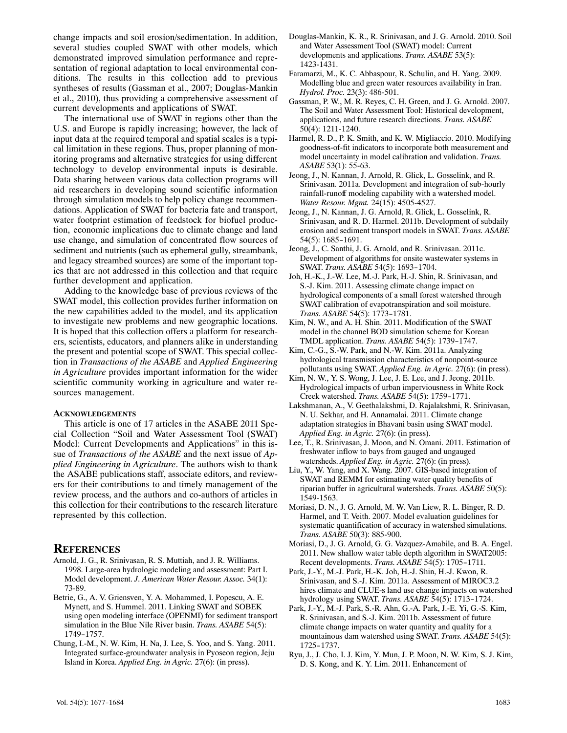change impacts and soil erosion/sedimentation. In addition, several studies coupled SWAT with other models, which demonstrated improved simulation performance and repre‐ sentation of regional adaptation to local environmental conditions. The results in this collection add to previous syntheses of results (Gassman et al., 2007; Douglas‐Mankin et al., 2010), thus providing a comprehensive assessment of current developments and applications of SWAT.

The international use of SWAT in regions other than the U.S. and Europe is rapidly increasing; however, the lack of input data at the required temporal and spatial scales is a typical limitation in these regions. Thus, proper planning of monitoring programs and alternative strategies for using different technology to develop environmental inputs is desirable. Data sharing between various data collection programs will aid researchers in developing sound scientific information through simulation models to help policy change recommen‐ dations. Application of SWAT for bacteria fate and transport, water footprint estimation of feedstock for biofuel production, economic implications due to climate change and land use change, and simulation of concentrated flow sources of sediment and nutrients (such as ephemeral gully, streambank, and legacy streambed sources) are some of the important topics that are not addressed in this collection and that require further development and application.

Adding to the knowledge base of previous reviews of the SWAT model, this collection provides further information on the new capabilities added to the model, and its application to investigate new problems and new geographic locations. It is hoped that this collection offers a platform for research‐ ers, scientists, educators, and planners alike in understanding the present and potential scope of SWAT. This special collec‐ tion in *Transactions of the ASABE* and *Applied Engineering in Agriculture* provides important information for the wider scientific community working in agriculture and water resources management.

#### **ACKNOWLEDGEMENTS**

This article is one of 17 articles in the ASABE 2011 Special Collection "Soil and Water Assessment Tool (SWAT) Model: Current Developments and Applications" in this issue of *Transactions of the ASABE* and the next issue of *Ap‐ plied Engineering in Agriculture*. The authors wish to thank the ASABE publications staff, associate editors, and review‐ ers for their contributions to and timely management of the review process, and the authors and co‐authors of articles in this collection for their contributions to the research literature represented by this collection.

## **REFERENCES**

- Arnold, J. G., R. Srinivasan, R. S. Muttiah, and J. R. Williams. 1998. Large‐area hydrologic modeling and assessment: Part I. Model development. *J. American Water Resour. Assoc.* 34(1): 73‐89.
- Betrie, G., A. V. Griensven, Y. A. Mohammed, I. Popescu, A. E. Mynett, and S. Hummel. 2011. Linking SWAT and SOBEK using open modeling interface (OPENMI) for sediment transport simulation in the Blue Nile River basin. *Trans. ASABE* 54(5): 1749-1757.
- Chung, I.‐M., N. W. Kim, H. Na, J. Lee, S. Yoo, and S. Yang. 2011. Integrated surface‐groundwater analysis in Pyoseon region, Jeju Island in Korea. *Applied Eng. in Agric.* 27(6): (in press).
- Douglas‐Mankin, K. R., R. Srinivasan, and J. G. Arnold. 2010. Soil and Water Assessment Tool (SWAT) model: Current developments and applications. *Trans. ASABE* 53(5): 1423‐1431.
- Faramarzi, M., K. C. Abbaspour, R. Schulin, and H. Yang. 2009. Modelling blue and green water resources availability in Iran. *Hydrol. Proc.* 23(3): 486‐501.
- Gassman, P. W., M. R. Reyes, C. H. Green, and J. G. Arnold. 2007. The Soil and Water Assessment Tool: Historical development, applications, and future research directions. *Trans. ASABE* 50(4): 1211‐1240.
- Harmel, R. D., P. K. Smith, and K. W. Migliaccio. 2010. Modifying goodness‐of‐fit indicators to incorporate both measurement and model uncertainty in model calibration and validation. *Trans. ASABE* 53(1): 55‐63.
- Jeong, J., N. Kannan, J. Arnold, R. Glick, L. Gosselink, and R. Srinivasan. 2011a. Development and integration of sub‐hourly rainfall-runoff modeling capability with a watershed model. *Water Resour. Mgmt.* 24(15): 4505‐4527.
- Jeong, J., N. Kannan, J. G. Arnold, R. Glick, L. Gosselink, R. Srinivasan, and R. D. Harmel. 2011b. Development of subdaily erosion and sediment transport models in SWAT. *Trans. ASABE* 54(5): 1685-1691.
- Jeong, J., C. Santhi, J. G. Arnold, and R. Srinivasan. 2011c. Development of algorithms for onsite wastewater systems in SWAT. *Trans. ASABE* 54(5): 1693-1704.
- Joh, H.‐K., J.‐W. Lee, M.‐J. Park, H.‐J. Shin, R. Srinivasan, and S.‐J. Kim. 2011. Assessing climate change impact on hydrological components of a small forest watershed through SWAT calibration of evapotranspiration and soil moisture. *Trans. ASABE* 54(5): 1773-1781.
- Kim, N. W., and A. H. Shin. 2011. Modification of the SWAT model in the channel BOD simulation scheme for Korean TMDL application. *Trans. ASABE* 54(5): 1739-1747.
- Kim, C.‐G., S.‐W. Park, and N.‐W. Kim. 2011a. Analyzing hydrological transmission characteristics of nonpoint‐source pollutants using SWAT. *Applied Eng. in Agric.* 27(6): (in press).
- Kim, N. W., Y. S. Wong, J. Lee, J. E. Lee, and J. Jeong. 2011b. Hydrological impacts of urban imperviousness in White Rock Creek watershed. *Trans. ASABE* 54(5): 1759-1771.
- Lakshmanan, A., V. Geethalakshmi, D. Rajalakshmi, R. Srinivasan, N. U. Sekhar, and H. Annamalai. 2011. Climate change adaptation strategies in Bhavani basin using SWAT model. *Applied Eng. in Agric.* 27(6): (in press).
- Lee, T., R. Srinivasan, J. Moon, and N. Omani. 2011. Estimation of freshwater inflow to bays from gauged and ungauged watersheds. *Applied Eng. in Agric.* 27(6): (in press).
- Liu, Y., W. Yang, and X. Wang. 2007. GIS‐based integration of SWAT and REMM for estimating water quality benefits of riparian buffer in agricultural watersheds. *Trans. ASABE* 50(5): 1549‐1563.
- Moriasi, D. N., J. G. Arnold, M. W. Van Liew, R. L. Binger, R. D. Harmel, and T. Veith. 2007. Model evaluation guidelines for systematic quantification of accuracy in watershed simulations. *Trans. ASABE* 50(3): 885‐900.
- Moriasi, D., J. G. Arnold, G. G. Vazquez‐Amabile, and B. A. Engel. 2011. New shallow water table depth algorithm in SWAT2005: Recent developments. *Trans. ASABE* 54(5): 1705-1711.
- Park, J.‐Y., M.‐J. Park, H.‐K. Joh, H.‐J. Shin, H.‐J. Kwon, R. Srinivasan, and S.‐J. Kim. 2011a. Assessment of MIROC3.2 hires climate and CLUE‐s land use change impacts on watershed hydrology using SWAT. *Trans. ASABE* 54(5): 1713-1724.
- Park, J.‐Y., M.‐J. Park, S.‐R. Ahn, G.‐A. Park, J.‐E. Yi, G.‐S. Kim, R. Srinivasan, and S.‐J. Kim. 2011b. Assessment of future climate change impacts on water quantity and quality for a mountainous dam watershed using SWAT. *Trans. ASABE* 54(5): 1725-1737.
- Ryu, J., J. Cho, I. J. Kim, Y. Mun, J. P. Moon, N. W. Kim, S. J. Kim, D. S. Kong, and K. Y. Lim. 2011. Enhancement of